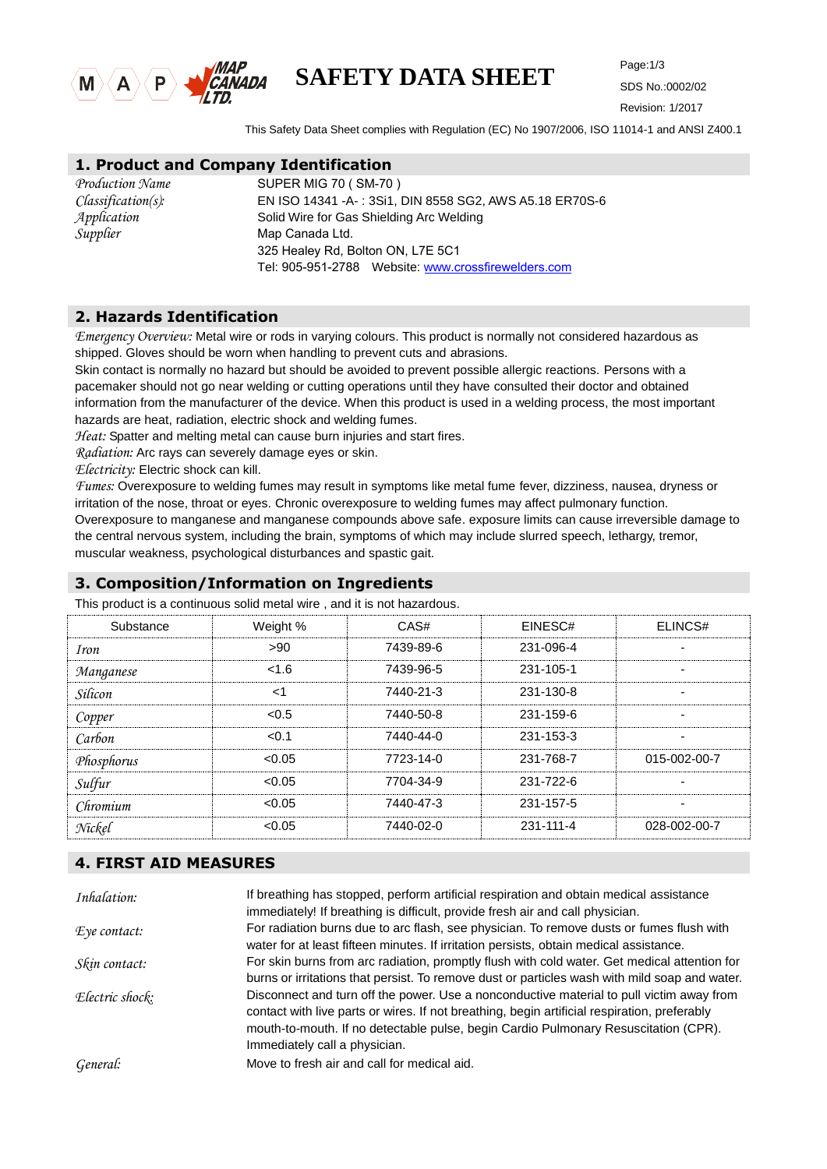

# **SAFETY DATA SHEET**

SDS No.:0002/02 Revision: 1/2017

This Safety Data Sheet complies with Regulation (EC) No 1907/2006, ISO 11014-1 and ANSI Z400.1

#### **1. Product and Company Identification**

| Production Name       | <b>SUPFR</b> |
|-----------------------|--------------|
| $Classification(s)$ : | EN ISO       |
| Application           | Solid Wi     |
| Supplier              | Map Ca       |
|                       | 325 Hea      |

MIG 70 ( SM-70 ) 14341 -A-: 3Si1, DIN 8558 SG2, AWS A5.18 ER70S-6 ire for Gas Shielding Arc Welding nada Ltd. aley Rd, Bolton ON, L7E 5C1 Tel: 905-951-2788 Website: www.[crossfirewel](http://www.htw.cn/)ders.com

#### **2. Hazards Identification**

*Emergency Overview:* Metal wire or rods in varying colours. This product is normally not considered hazardous as shipped. Gloves should be worn when handling to prevent cuts and abrasions.

Skin contact is normally no hazard but should be avoided to prevent possible allergic reactions. Persons with a pacemaker should not go near welding or cutting operations until they have consulted their doctor and obtained information from the manufacturer of the device. When this product is used in a welding process, the most important hazards are heat, radiation, electric shock and welding fumes.

*Heat:* Spatter and melting metal can cause burn injuries and start fires.

*Radiation:* Arc rays can severely damage eyes or skin.

*Electricity:* Electric shock can kill.

*Fumes:* Overexposure to welding fumes may result in symptoms like metal fume fever, dizziness, nausea, dryness or irritation of the nose, throat or eyes. Chronic overexposure to welding fumes may affect pulmonary function. Overexposure to manganese and manganese compounds above safe. exposure limits can cause irreversible damage to the central nervous system, including the brain, symptoms of which may include slurred speech, lethargy, tremor, muscular weakness, psychological disturbances and spastic gait.

#### **3. Composition/Information on Ingredients**

This product is a continuous solid metal wire , and it is not hazardous.

| Substance   | Weight % | CAS#      | EINESC#   | ELINCS#      |
|-------------|----------|-----------|-----------|--------------|
| <i>Iron</i> | >90      | 7439-89-6 | 231-096-4 |              |
| Manganese   | < 1.6    | 7439-96-5 | 231-105-1 |              |
| Silicon     | $<$ 1    | 7440-21-3 | 231-130-8 | ٠            |
| Copper      | < 0.5    | 7440-50-8 | 231-159-6 | ۰            |
| Carbon      | < 0.1    | 7440-44-0 | 231-153-3 | ۰            |
| Phosphorus  | < 0.05   | 7723-14-0 | 231-768-7 | 015-002-00-7 |
| Sulfur      | < 0.05   | 7704-34-9 | 231-722-6 |              |
| Chromium    | < 0.05   | 7440-47-3 | 231-157-5 |              |
| Nickel      | < 0.05   | 7440-02-0 | 231-111-4 | 028-002-00-7 |

#### **4. FIRST AID MEASURES**

| Inhalation:            | If breathing has stopped, perform artificial respiration and obtain medical assistance<br>immediately! If breathing is difficult, provide fresh air and call physician.                                                                                                                                          |
|------------------------|------------------------------------------------------------------------------------------------------------------------------------------------------------------------------------------------------------------------------------------------------------------------------------------------------------------|
| $E$ <i>ye</i> contact: | For radiation burns due to arc flash, see physician. To remove dusts or fumes flush with<br>water for at least fifteen minutes. If irritation persists, obtain medical assistance.                                                                                                                               |
| Skin contact:          | For skin burns from arc radiation, promptly flush with cold water. Get medical attention for<br>burns or irritations that persist. To remove dust or particles wash with mild soap and water.                                                                                                                    |
| Electric shock:        | Disconnect and turn off the power. Use a nonconductive material to pull victim away from<br>contact with live parts or wires. If not breathing, begin artificial respiration, preferably<br>mouth-to-mouth. If no detectable pulse, begin Cardio Pulmonary Resuscitation (CPR).<br>Immediately call a physician. |
| General:               | Move to fresh air and call for medical aid.                                                                                                                                                                                                                                                                      |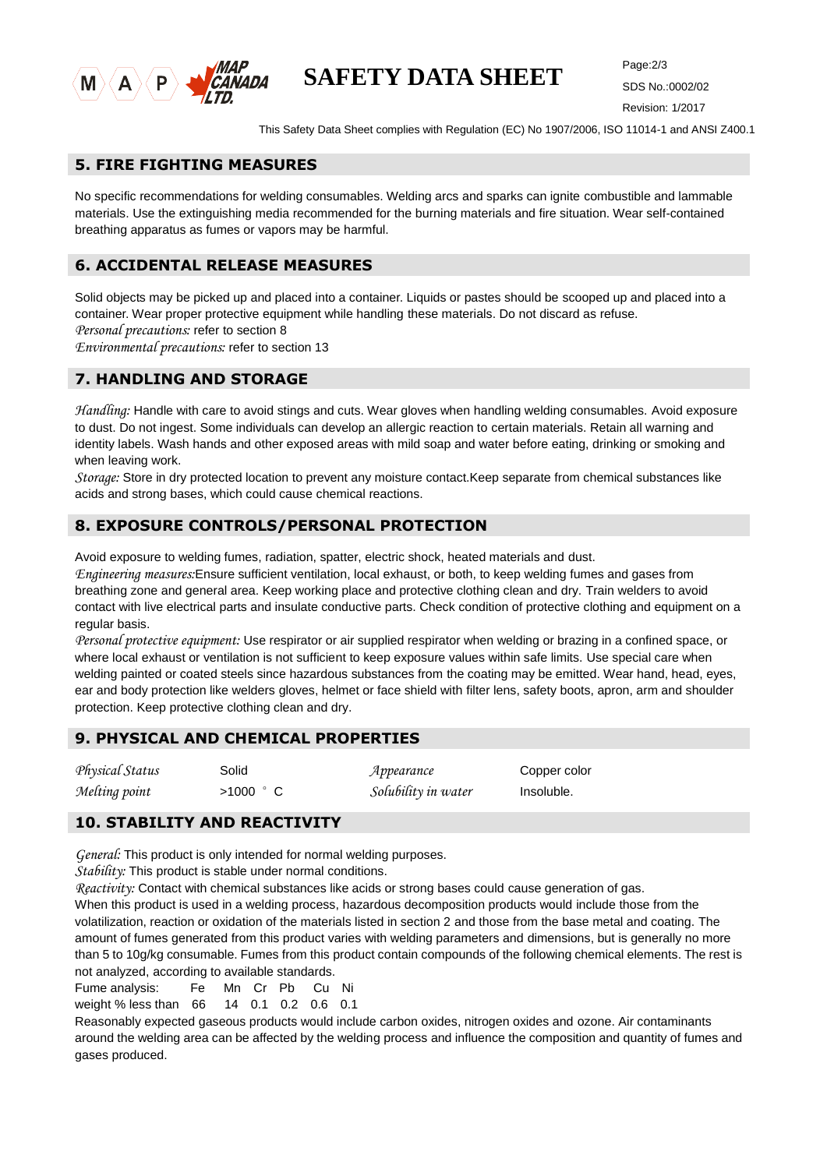

# **SAFETY DATA SHEET**

SDS No.:0002/02 Revision: 1/2017

This Safety Data Sheet complies with Regulation (EC) No 1907/2006, ISO 11014-1 and ANSI Z400.1

#### **5. FIRE FIGHTING MEASURES**

No specific recommendations for welding consumables. Welding arcs and sparks can ignite combustible and lammable materials. Use the extinguishing media recommended for the burning materials and fire situation. Wear self-contained breathing apparatus as fumes or vapors may be harmful.

# **6. ACCIDENTAL RELEASE MEASURES**

Solid objects may be picked up and placed into a container. Liquids or pastes should be scooped up and placed into a container. Wear proper protective equipment while handling these materials. Do not discard as refuse. *Personal precautions:* refer to section 8

*Environmental precautions:* refer to section 13

#### **7. HANDLING AND STORAGE**

*Handling:* Handle with care to avoid stings and cuts. Wear gloves when handling welding consumables. Avoid exposure to dust. Do not ingest. Some individuals can develop an allergic reaction to certain materials. Retain all warning and identity labels. Wash hands and other exposed areas with mild soap and water before eating, drinking or smoking and when leaving work.

*Storage:* Store in dry protected location to prevent any moisture contact.Keep separate from chemical substances like acids and strong bases, which could cause chemical reactions.

#### **8. EXPOSURE CONTROLS/PERSONAL PROTECTION**

Avoid exposure to welding fumes, radiation, spatter, electric shock, heated materials and dust.

*Engineering measures:*Ensure sufficient ventilation, local exhaust, or both, to keep welding fumes and gases from breathing zone and general area. Keep working place and protective clothing clean and dry. Train welders to avoid contact with live electrical parts and insulate conductive parts. Check condition of protective clothing and equipment on a regular basis.

*Personal protective equipment:* Use respirator or air supplied respirator when welding or brazing in a confined space, or where local exhaust or ventilation is not sufficient to keep exposure values within safe limits. Use special care when welding painted or coated steels since hazardous substances from the coating may be emitted. Wear hand, head, eyes, ear and body protection like welders gloves, helmet or face shield with filter lens, safety boots, apron, arm and shoulder protection. Keep protective clothing clean and dry.

## **9. PHYSICAL AND CHEMICAL PROPERTIES**

*Physical Status* Solid *Appearance* Copper color *Melting point* >1000 °C *Solubility in water* Insoluble.

## **10. STABILITY AND REACTIVITY**

*General:* This product is only intended for normal welding purposes.

*Stability:* This product is stable under normal conditions.

*Reactivity:* Contact with chemical substances like acids or strong bases could cause generation of gas.

When this product is used in a welding process, hazardous decomposition products would include those from the volatilization, reaction or oxidation of the materials listed in section 2 and those from the base metal and coating. The amount of fumes generated from this product varies with welding parameters and dimensions, but is generally no more than 5 to 10g/kg consumable. Fumes from this product contain compounds of the following chemical elements. The rest is not analyzed, according to available standards.

Fume analysis: Fe Mn Cr Pb Cu Ni

weight % less than 66 14 0.1 0.2 0.6 0.1

Reasonably expected gaseous products would include carbon oxides, nitrogen oxides and ozone. Air contaminants around the welding area can be affected by the welding process and influence the composition and quantity of fumes and gases produced.